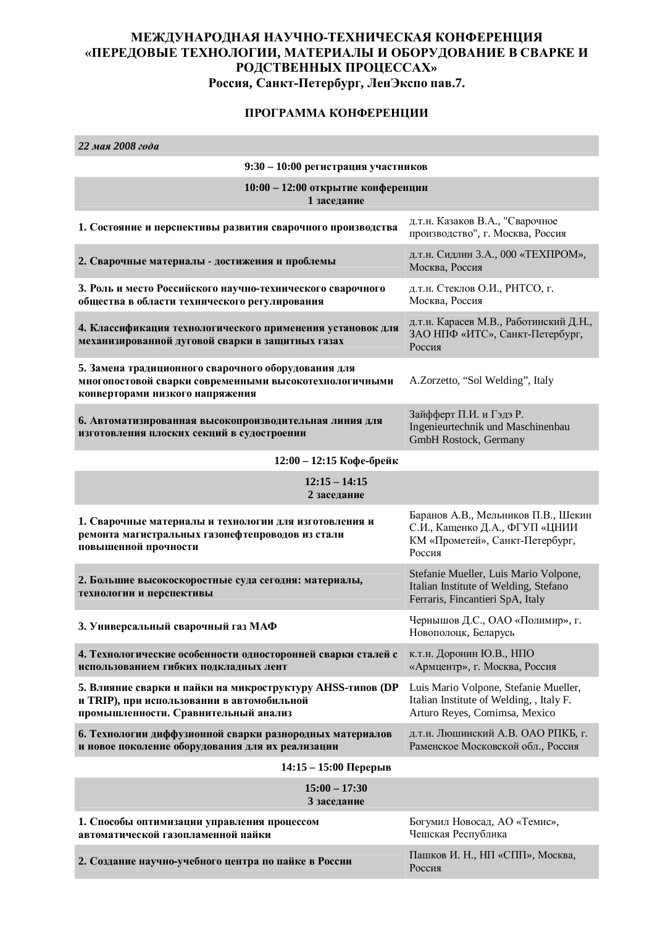## МЕЖДУНАРОДНАЯ НАУЧНО-ТЕХНИЧЕСКАЯ КОНФЕРЕНЦИЯ «ПЕРЕДОВЫЕ ТЕХНОЛОГИИ, МАТЕРИАЛЫ И ОБОРУДОВАНИЕ В СВАРКЕ И РОДСТВЕННЫХ ПРОЦЕССАХ» Россия, Санкт-Петербург, ЛенЭкспо пав.7.

## ПРОГРАММА КОНФЕРЕНЦИИ

**22 мая 2008 года** 

| 9:30 - 10:00 регистрация участников                                                                                                              |                                                                                                                    |  |
|--------------------------------------------------------------------------------------------------------------------------------------------------|--------------------------------------------------------------------------------------------------------------------|--|
| 10:00 - 12:00 открытие конференции<br>1 заседание                                                                                                |                                                                                                                    |  |
| 1. Состояние и перспективы развития сварочного производства                                                                                      | д.т.н. Казаков В.А., "Сварочное<br>производство", г. Москва, Россия                                                |  |
| 2. Сварочные материалы - достижения и проблемы                                                                                                   | д.т.н. Сидлин З.А., 000 «ТЕХПРОМ»,<br>Москва, Россия                                                               |  |
| 3. Роль и место Российского научно-технического сварочного<br>общества в области технического регулирования                                      | д.т.н. Стеклов О.И., РНТСО, г.<br>Москва, Россия                                                                   |  |
| 4. Классификация технологического применения установок для<br>механизированной дуговой сварки в защитных газах                                   | д.т.н. Карасев М.В., Работинский Д.Н.,<br>ЗАО НПФ «ИТС», Санкт-Петербург,<br>Россия                                |  |
| 5. Замена традиционного сварочного оборудования для<br>многопостовой сварки современными высокотехнологичными<br>конверторами низкого напряжения | A.Zorzetto, "Sol Welding", Italy                                                                                   |  |
| 6. Автоматизированная высокопроизводительная линия для<br>изготовления плоских секций в судостроении                                             | Зайфферт П.И. и Гэдэ Р.<br>Ingenieurtechnik und Maschinenbau<br>GmbH Rostock, Germany                              |  |
| 12:00 - 12:15 Кофе-брейк                                                                                                                         |                                                                                                                    |  |
| $12:15 - 14:15$<br>2 заседание                                                                                                                   |                                                                                                                    |  |
| 1. Сварочные материалы и технологии для изготовления и<br>ремонта магистральных газонефтепроводов из стали<br>повышенной прочности               | Баранов А.В., Мельников П.В., Шекин<br>С.И., Кащенко Д.А., ФГУП «ЦНИИ<br>КМ «Прометей», Санкт-Петербург,<br>Россия |  |
| 2. Большие высокоскоростные суда сегодня: материалы,<br>технологии и перспективы                                                                 | Stefanie Mueller, Luis Mario Volpone,<br>Italian Institute of Welding, Stefano<br>Ferraris, Fincantieri SpA, Italy |  |
| 3. Универсальный сварочный газ МАФ                                                                                                               | Чернышов Д.С., ОАО «Полимир», г.<br>Новополоцк, Беларусь                                                           |  |
| 4. Технологические особенности односторонней сварки сталей с<br>использованием гибких подкладных лент                                            | к.т.н. Доронин Ю.В., НПО<br>«Армцентр», г. Москва, Россия                                                          |  |
| 5. Влияние сварки и пайки на микроструктуру AHSS-типов (DP<br>и TRIP), при использовании в автомобильной<br>промышленности. Сравнительный анализ | Luis Mario Volpone, Stefanie Mueller,<br>Italian Institute of Welding, , Italy F.<br>Arturo Reyes, Comimsa, Mexico |  |
| 6. Технологии диффузионной сварки разнородных материалов<br>и новое поколение оборудования для их реализации                                     | д.т.н. Люшинский А.В. ОАО РПКБ, г.<br>Раменское Московской обл., Россия                                            |  |
| $14:15 - 15:00$ Перерыв                                                                                                                          |                                                                                                                    |  |
| $15:00 - 17:30$<br>3 заседание                                                                                                                   |                                                                                                                    |  |
| 1. Способы оптимизации управления процессом<br>автоматической газопламенной пайки                                                                | Богумил Новосад, АО «Темис»,<br>Чешская Республика                                                                 |  |
| 2. Создание научно-учебного центра по пайке в России                                                                                             | Пашков И. Н., НП «СПП», Москва,<br>Россия                                                                          |  |